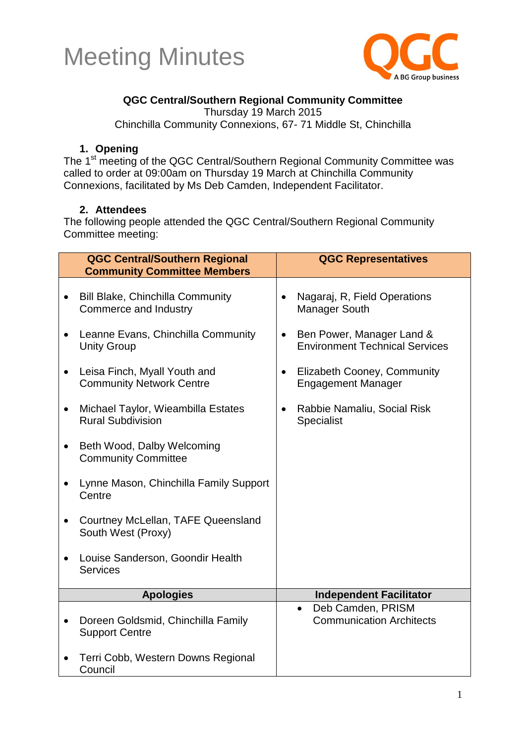



#### **QGC Central/Southern Regional Community Committee**

Thursday 19 March 2015

Chinchilla Community Connexions, 67- 71 Middle St, Chinchilla

#### **1. Opening**

The 1<sup>st</sup> meeting of the QGC Central/Southern Regional Community Committee was called to order at 09:00am on Thursday 19 March at Chinchilla Community Connexions, facilitated by Ms Deb Camden, Independent Facilitator.

#### **2. Attendees**

The following people attended the QGC Central/Southern Regional Community Committee meeting:

| <b>QGC Central/Southern Regional</b><br><b>Community Committee Members</b>                                                                                                                                                                                                                                                                                                                                                                                                                                  | <b>QGC Representatives</b>                                                                                                                                                                                                                       |
|-------------------------------------------------------------------------------------------------------------------------------------------------------------------------------------------------------------------------------------------------------------------------------------------------------------------------------------------------------------------------------------------------------------------------------------------------------------------------------------------------------------|--------------------------------------------------------------------------------------------------------------------------------------------------------------------------------------------------------------------------------------------------|
| <b>Bill Blake, Chinchilla Community</b><br>$\bullet$<br>Commerce and Industry<br>Leanne Evans, Chinchilla Community<br><b>Unity Group</b><br>Leisa Finch, Myall Youth and<br><b>Community Network Centre</b><br>Michael Taylor, Wieambilla Estates<br><b>Rural Subdivision</b><br>Beth Wood, Dalby Welcoming<br>$\bullet$<br><b>Community Committee</b><br>Lynne Mason, Chinchilla Family Support<br>Centre<br>Courtney McLellan, TAFE Queensland<br>South West (Proxy)<br>Louise Sanderson, Goondir Health | Nagaraj, R, Field Operations<br>$\bullet$<br><b>Manager South</b><br>Ben Power, Manager Land &<br><b>Environment Technical Services</b><br>Elizabeth Cooney, Community<br><b>Engagement Manager</b><br>Rabbie Namaliu, Social Risk<br>Specialist |
| <b>Services</b>                                                                                                                                                                                                                                                                                                                                                                                                                                                                                             |                                                                                                                                                                                                                                                  |
| <b>Apologies</b>                                                                                                                                                                                                                                                                                                                                                                                                                                                                                            | <b>Independent Facilitator</b>                                                                                                                                                                                                                   |
| Doreen Goldsmid, Chinchilla Family<br><b>Support Centre</b>                                                                                                                                                                                                                                                                                                                                                                                                                                                 | Deb Camden, PRISM<br>$\bullet$<br><b>Communication Architects</b>                                                                                                                                                                                |
| Terri Cobb, Western Downs Regional<br>Council                                                                                                                                                                                                                                                                                                                                                                                                                                                               |                                                                                                                                                                                                                                                  |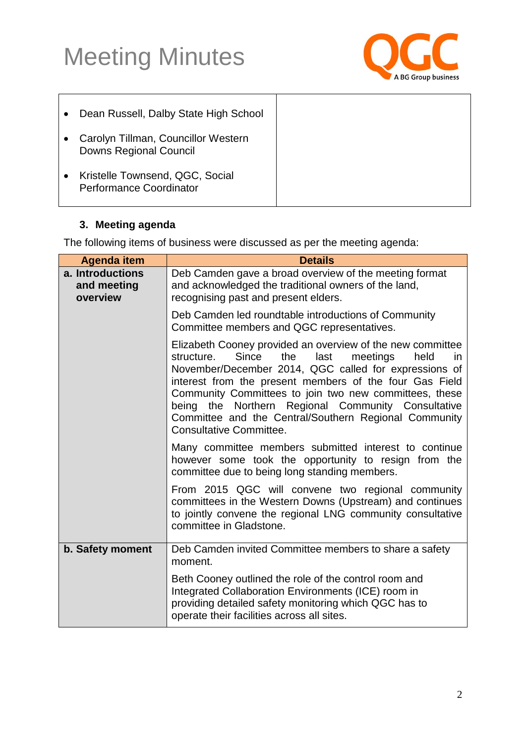

- Dean Russell, Dalby State High School
- Carolyn Tillman, Councillor Western Downs Regional Council
- Kristelle Townsend, QGC, Social Performance Coordinator

#### **3. Meeting agenda**

The following items of business were discussed as per the meeting agenda:

| <b>Agenda item</b>                          | <b>Details</b>                                                                                                                                                                                                                                                                                                                                                                                                                                             |
|---------------------------------------------|------------------------------------------------------------------------------------------------------------------------------------------------------------------------------------------------------------------------------------------------------------------------------------------------------------------------------------------------------------------------------------------------------------------------------------------------------------|
| a. Introductions<br>and meeting<br>overview | Deb Camden gave a broad overview of the meeting format<br>and acknowledged the traditional owners of the land,<br>recognising past and present elders.                                                                                                                                                                                                                                                                                                     |
|                                             | Deb Camden led roundtable introductions of Community<br>Committee members and QGC representatives.                                                                                                                                                                                                                                                                                                                                                         |
|                                             | Elizabeth Cooney provided an overview of the new committee<br>Since<br>the<br>structure.<br>last<br>meetings<br>held<br>in.<br>November/December 2014, QGC called for expressions of<br>interest from the present members of the four Gas Field<br>Community Committees to join two new committees, these<br>being the Northern Regional Community Consultative<br>Committee and the Central/Southern Regional Community<br><b>Consultative Committee.</b> |
|                                             | Many committee members submitted interest to continue<br>however some took the opportunity to resign from the<br>committee due to being long standing members.                                                                                                                                                                                                                                                                                             |
|                                             | From 2015 QGC will convene two regional community<br>committees in the Western Downs (Upstream) and continues<br>to jointly convene the regional LNG community consultative<br>committee in Gladstone.                                                                                                                                                                                                                                                     |
| b. Safety moment                            | Deb Camden invited Committee members to share a safety<br>moment.                                                                                                                                                                                                                                                                                                                                                                                          |
|                                             | Beth Cooney outlined the role of the control room and<br>Integrated Collaboration Environments (ICE) room in<br>providing detailed safety monitoring which QGC has to<br>operate their facilities across all sites.                                                                                                                                                                                                                                        |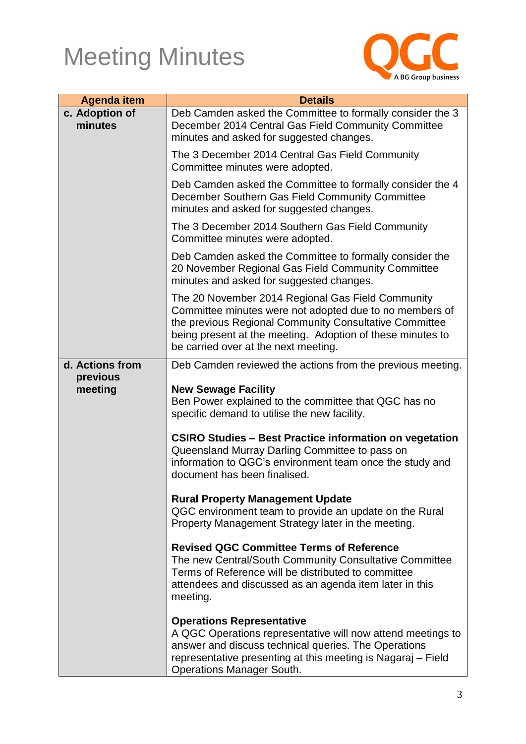

| <b>Agenda item</b>          | <b>Details</b>                                                                                                                                                                                                                                                               |
|-----------------------------|------------------------------------------------------------------------------------------------------------------------------------------------------------------------------------------------------------------------------------------------------------------------------|
| c. Adoption of<br>minutes   | Deb Camden asked the Committee to formally consider the 3<br>December 2014 Central Gas Field Community Committee<br>minutes and asked for suggested changes.                                                                                                                 |
|                             | The 3 December 2014 Central Gas Field Community<br>Committee minutes were adopted.                                                                                                                                                                                           |
|                             | Deb Camden asked the Committee to formally consider the 4<br>December Southern Gas Field Community Committee<br>minutes and asked for suggested changes.                                                                                                                     |
|                             | The 3 December 2014 Southern Gas Field Community<br>Committee minutes were adopted.                                                                                                                                                                                          |
|                             | Deb Camden asked the Committee to formally consider the<br>20 November Regional Gas Field Community Committee<br>minutes and asked for suggested changes.                                                                                                                    |
|                             | The 20 November 2014 Regional Gas Field Community<br>Committee minutes were not adopted due to no members of<br>the previous Regional Community Consultative Committee<br>being present at the meeting. Adoption of these minutes to<br>be carried over at the next meeting. |
| d. Actions from<br>previous | Deb Camden reviewed the actions from the previous meeting.                                                                                                                                                                                                                   |
| meeting                     | <b>New Sewage Facility</b><br>Ben Power explained to the committee that QGC has no<br>specific demand to utilise the new facility.                                                                                                                                           |
|                             | <b>CSIRO Studies - Best Practice information on vegetation</b><br>Queensland Murray Darling Committee to pass on<br>information to QGC's environment team once the study and<br>document has been finalised.                                                                 |
|                             | <b>Rural Property Management Update</b><br>QGC environment team to provide an update on the Rural<br>Property Management Strategy later in the meeting.                                                                                                                      |
|                             | <b>Revised QGC Committee Terms of Reference</b><br>The new Central/South Community Consultative Committee<br>Terms of Reference will be distributed to committee<br>attendees and discussed as an agenda item later in this<br>meeting.                                      |
|                             | <b>Operations Representative</b><br>A QGC Operations representative will now attend meetings to<br>answer and discuss technical queries. The Operations<br>representative presenting at this meeting is Nagaraj – Field<br><b>Operations Manager South.</b>                  |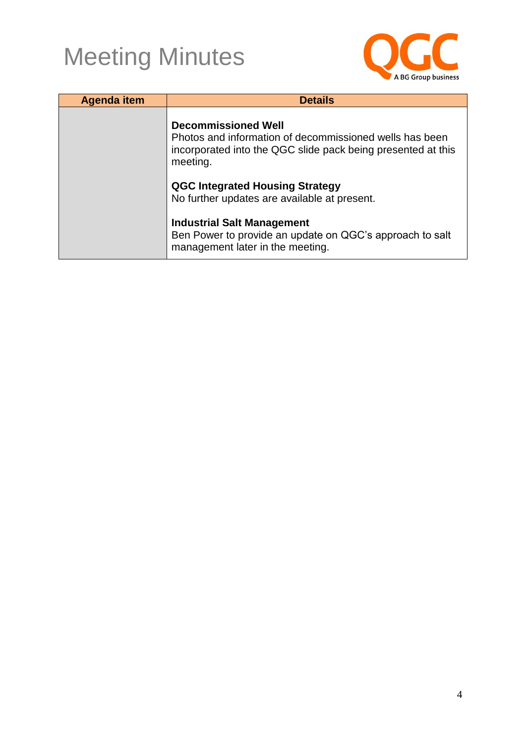

| <b>Agenda item</b> | <b>Details</b>                                                                                                                                                    |
|--------------------|-------------------------------------------------------------------------------------------------------------------------------------------------------------------|
|                    | <b>Decommissioned Well</b><br>Photos and information of decommissioned wells has been<br>incorporated into the QGC slide pack being presented at this<br>meeting. |
|                    | <b>QGC Integrated Housing Strategy</b><br>No further updates are available at present.                                                                            |
|                    | <b>Industrial Salt Management</b><br>Ben Power to provide an update on QGC's approach to salt<br>management later in the meeting.                                 |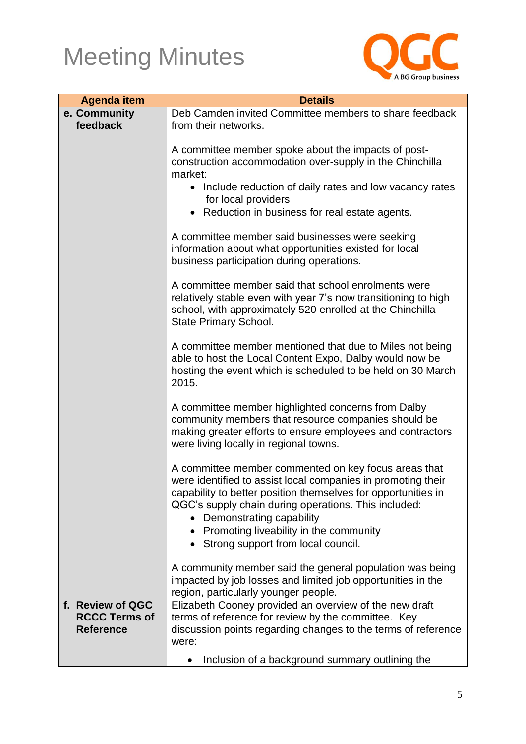

| <b>Agenda item</b>                                           | <b>Details</b>                                                                                                                                                                                                                                                                                                                                              |
|--------------------------------------------------------------|-------------------------------------------------------------------------------------------------------------------------------------------------------------------------------------------------------------------------------------------------------------------------------------------------------------------------------------------------------------|
| e. Community<br>feedback                                     | Deb Camden invited Committee members to share feedback<br>from their networks.                                                                                                                                                                                                                                                                              |
|                                                              | A committee member spoke about the impacts of post-<br>construction accommodation over-supply in the Chinchilla<br>market:<br>• Include reduction of daily rates and low vacancy rates<br>for local providers<br>Reduction in business for real estate agents.                                                                                              |
|                                                              | A committee member said businesses were seeking<br>information about what opportunities existed for local<br>business participation during operations.                                                                                                                                                                                                      |
|                                                              | A committee member said that school enrolments were<br>relatively stable even with year 7's now transitioning to high<br>school, with approximately 520 enrolled at the Chinchilla<br><b>State Primary School.</b>                                                                                                                                          |
|                                                              | A committee member mentioned that due to Miles not being<br>able to host the Local Content Expo, Dalby would now be<br>hosting the event which is scheduled to be held on 30 March<br>2015.                                                                                                                                                                 |
|                                                              | A committee member highlighted concerns from Dalby<br>community members that resource companies should be<br>making greater efforts to ensure employees and contractors<br>were living locally in regional towns.                                                                                                                                           |
|                                                              | A committee member commented on key focus areas that<br>were identified to assist local companies in promoting their<br>capability to better position themselves for opportunities in<br>QGC's supply chain during operations. This included:<br>Demonstrating capability<br>Promoting liveability in the community<br>• Strong support from local council. |
|                                                              | A community member said the general population was being<br>impacted by job losses and limited job opportunities in the<br>region, particularly younger people.                                                                                                                                                                                             |
| f. Review of QGC<br><b>RCCC Terms of</b><br><b>Reference</b> | Elizabeth Cooney provided an overview of the new draft<br>terms of reference for review by the committee. Key<br>discussion points regarding changes to the terms of reference<br>were:                                                                                                                                                                     |
|                                                              | Inclusion of a background summary outlining the                                                                                                                                                                                                                                                                                                             |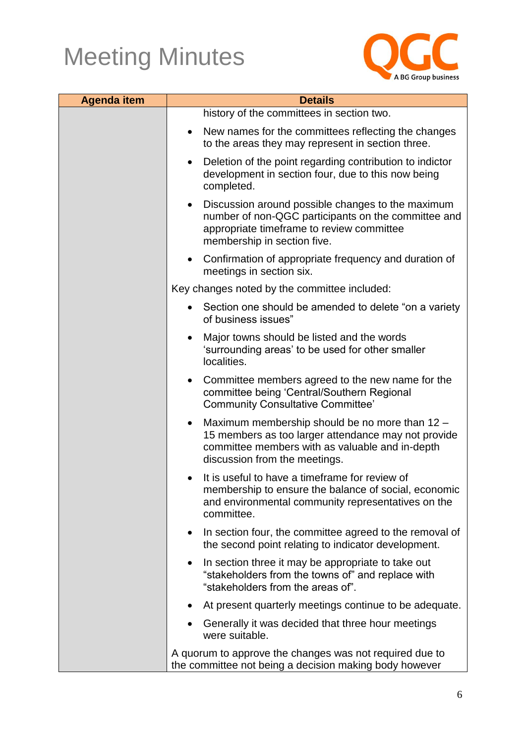

| <b>Agenda item</b> | <b>Details</b>                                                                                                                                                                                         |
|--------------------|--------------------------------------------------------------------------------------------------------------------------------------------------------------------------------------------------------|
|                    | history of the committees in section two.                                                                                                                                                              |
|                    | New names for the committees reflecting the changes<br>$\bullet$<br>to the areas they may represent in section three.                                                                                  |
|                    | Deletion of the point regarding contribution to indictor<br>$\bullet$<br>development in section four, due to this now being<br>completed.                                                              |
|                    | Discussion around possible changes to the maximum<br>$\bullet$<br>number of non-QGC participants on the committee and<br>appropriate timeframe to review committee<br>membership in section five.      |
|                    | Confirmation of appropriate frequency and duration of<br>$\bullet$<br>meetings in section six.                                                                                                         |
|                    | Key changes noted by the committee included:                                                                                                                                                           |
|                    | Section one should be amended to delete "on a variety"<br>of business issues"                                                                                                                          |
|                    | Major towns should be listed and the words<br>$\bullet$<br>'surrounding areas' to be used for other smaller<br>localities.                                                                             |
|                    | Committee members agreed to the new name for the<br>$\bullet$<br>committee being 'Central/Southern Regional<br><b>Community Consultative Committee'</b>                                                |
|                    | Maximum membership should be no more than 12 -<br>$\bullet$<br>15 members as too larger attendance may not provide<br>committee members with as valuable and in-depth<br>discussion from the meetings. |
|                    | It is useful to have a timeframe for review of<br>membership to ensure the balance of social, economic<br>and environmental community representatives on the<br>committee.                             |
|                    | In section four, the committee agreed to the removal of<br>$\bullet$<br>the second point relating to indicator development.                                                                            |
|                    | In section three it may be appropriate to take out<br>"stakeholders from the towns of" and replace with<br>"stakeholders from the areas of".                                                           |
|                    | At present quarterly meetings continue to be adequate.                                                                                                                                                 |
|                    | Generally it was decided that three hour meetings<br>were suitable.                                                                                                                                    |
|                    | A quorum to approve the changes was not required due to<br>the committee not being a decision making body however                                                                                      |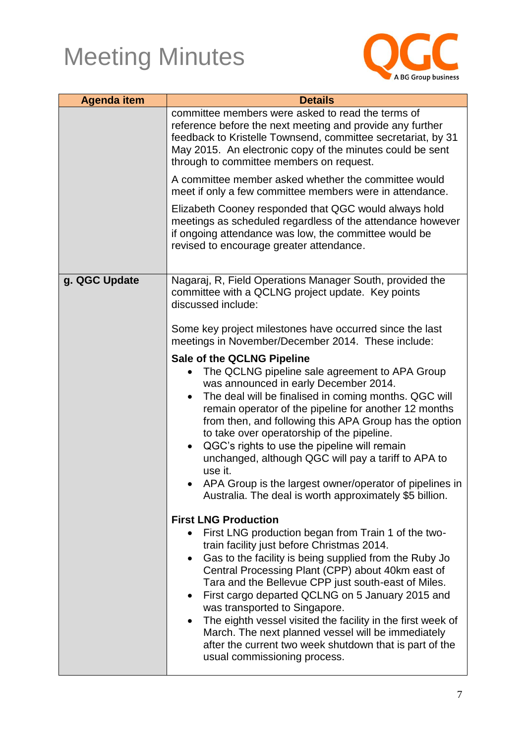

| <b>Agenda item</b> | <b>Details</b>                                                                                                                                                                                                                                                                                                                                                                                                                                                                                                                                                                                                                                                                                                                                                                                                                                                                                                                                                                                                                                                                                                                                                                                                                          |
|--------------------|-----------------------------------------------------------------------------------------------------------------------------------------------------------------------------------------------------------------------------------------------------------------------------------------------------------------------------------------------------------------------------------------------------------------------------------------------------------------------------------------------------------------------------------------------------------------------------------------------------------------------------------------------------------------------------------------------------------------------------------------------------------------------------------------------------------------------------------------------------------------------------------------------------------------------------------------------------------------------------------------------------------------------------------------------------------------------------------------------------------------------------------------------------------------------------------------------------------------------------------------|
|                    | committee members were asked to read the terms of<br>reference before the next meeting and provide any further<br>feedback to Kristelle Townsend, committee secretariat, by 31<br>May 2015. An electronic copy of the minutes could be sent<br>through to committee members on request.                                                                                                                                                                                                                                                                                                                                                                                                                                                                                                                                                                                                                                                                                                                                                                                                                                                                                                                                                 |
|                    | A committee member asked whether the committee would<br>meet if only a few committee members were in attendance.                                                                                                                                                                                                                                                                                                                                                                                                                                                                                                                                                                                                                                                                                                                                                                                                                                                                                                                                                                                                                                                                                                                        |
|                    | Elizabeth Cooney responded that QGC would always hold<br>meetings as scheduled regardless of the attendance however<br>if ongoing attendance was low, the committee would be<br>revised to encourage greater attendance.                                                                                                                                                                                                                                                                                                                                                                                                                                                                                                                                                                                                                                                                                                                                                                                                                                                                                                                                                                                                                |
| g. QGC Update      | Nagaraj, R, Field Operations Manager South, provided the<br>committee with a QCLNG project update. Key points<br>discussed include:                                                                                                                                                                                                                                                                                                                                                                                                                                                                                                                                                                                                                                                                                                                                                                                                                                                                                                                                                                                                                                                                                                     |
|                    | Some key project milestones have occurred since the last<br>meetings in November/December 2014. These include:                                                                                                                                                                                                                                                                                                                                                                                                                                                                                                                                                                                                                                                                                                                                                                                                                                                                                                                                                                                                                                                                                                                          |
|                    | <b>Sale of the QCLNG Pipeline</b><br>The QCLNG pipeline sale agreement to APA Group<br>was announced in early December 2014.<br>The deal will be finalised in coming months. QGC will<br>$\bullet$<br>remain operator of the pipeline for another 12 months<br>from then, and following this APA Group has the option<br>to take over operatorship of the pipeline.<br>QGC's rights to use the pipeline will remain<br>$\bullet$<br>unchanged, although QGC will pay a tariff to APA to<br>use it.<br>APA Group is the largest owner/operator of pipelines in<br>Australia. The deal is worth approximately \$5 billion.<br><b>First LNG Production</b><br>First LNG production began from Train 1 of the two-<br>train facility just before Christmas 2014.<br>Gas to the facility is being supplied from the Ruby Jo<br>Central Processing Plant (CPP) about 40km east of<br>Tara and the Bellevue CPP just south-east of Miles.<br>First cargo departed QCLNG on 5 January 2015 and<br>was transported to Singapore.<br>The eighth vessel visited the facility in the first week of<br>March. The next planned vessel will be immediately<br>after the current two week shutdown that is part of the<br>usual commissioning process. |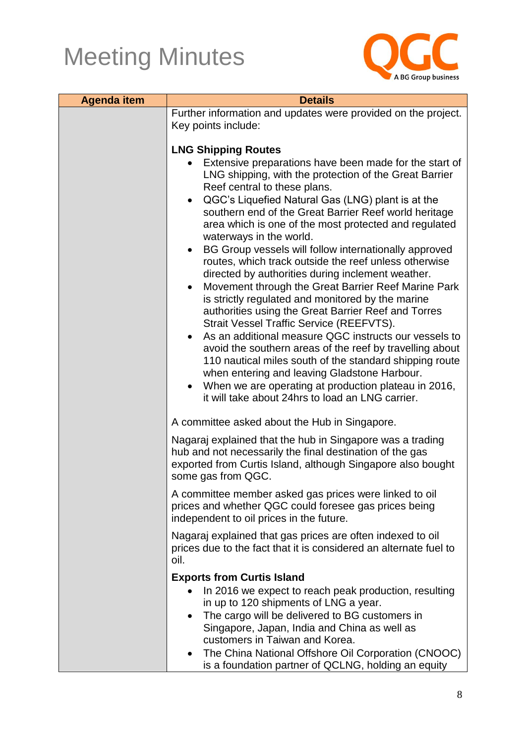

| Further information and updates were provided on the project.<br>Key points include:<br><b>LNG Shipping Routes</b><br>Extensive preparations have been made for the start of<br>LNG shipping, with the protection of the Great Barrier<br>Reef central to these plans.<br>QGC's Liquefied Natural Gas (LNG) plant is at the<br>$\bullet$<br>southern end of the Great Barrier Reef world heritage<br>area which is one of the most protected and regulated<br>waterways in the world.<br>BG Group vessels will follow internationally approved<br>$\bullet$<br>routes, which track outside the reef unless otherwise<br>directed by authorities during inclement weather.<br>Movement through the Great Barrier Reef Marine Park<br>$\bullet$<br>is strictly regulated and monitored by the marine<br>authorities using the Great Barrier Reef and Torres<br>Strait Vessel Traffic Service (REEFVTS).<br>As an additional measure QGC instructs our vessels to<br>avoid the southern areas of the reef by travelling about<br>110 nautical miles south of the standard shipping route<br>when entering and leaving Gladstone Harbour.<br>When we are operating at production plateau in 2016,<br>$\bullet$<br>it will take about 24hrs to load an LNG carrier.<br>A committee asked about the Hub in Singapore.<br>Nagaraj explained that the hub in Singapore was a trading<br>hub and not necessarily the final destination of the gas<br>exported from Curtis Island, although Singapore also bought<br>some gas from QGC. |
|-------------------------------------------------------------------------------------------------------------------------------------------------------------------------------------------------------------------------------------------------------------------------------------------------------------------------------------------------------------------------------------------------------------------------------------------------------------------------------------------------------------------------------------------------------------------------------------------------------------------------------------------------------------------------------------------------------------------------------------------------------------------------------------------------------------------------------------------------------------------------------------------------------------------------------------------------------------------------------------------------------------------------------------------------------------------------------------------------------------------------------------------------------------------------------------------------------------------------------------------------------------------------------------------------------------------------------------------------------------------------------------------------------------------------------------------------------------------------------------------------------------------------------|
|                                                                                                                                                                                                                                                                                                                                                                                                                                                                                                                                                                                                                                                                                                                                                                                                                                                                                                                                                                                                                                                                                                                                                                                                                                                                                                                                                                                                                                                                                                                               |
|                                                                                                                                                                                                                                                                                                                                                                                                                                                                                                                                                                                                                                                                                                                                                                                                                                                                                                                                                                                                                                                                                                                                                                                                                                                                                                                                                                                                                                                                                                                               |
|                                                                                                                                                                                                                                                                                                                                                                                                                                                                                                                                                                                                                                                                                                                                                                                                                                                                                                                                                                                                                                                                                                                                                                                                                                                                                                                                                                                                                                                                                                                               |
|                                                                                                                                                                                                                                                                                                                                                                                                                                                                                                                                                                                                                                                                                                                                                                                                                                                                                                                                                                                                                                                                                                                                                                                                                                                                                                                                                                                                                                                                                                                               |
|                                                                                                                                                                                                                                                                                                                                                                                                                                                                                                                                                                                                                                                                                                                                                                                                                                                                                                                                                                                                                                                                                                                                                                                                                                                                                                                                                                                                                                                                                                                               |
|                                                                                                                                                                                                                                                                                                                                                                                                                                                                                                                                                                                                                                                                                                                                                                                                                                                                                                                                                                                                                                                                                                                                                                                                                                                                                                                                                                                                                                                                                                                               |
|                                                                                                                                                                                                                                                                                                                                                                                                                                                                                                                                                                                                                                                                                                                                                                                                                                                                                                                                                                                                                                                                                                                                                                                                                                                                                                                                                                                                                                                                                                                               |
| A committee member asked gas prices were linked to oil<br>prices and whether QGC could foresee gas prices being<br>independent to oil prices in the future.                                                                                                                                                                                                                                                                                                                                                                                                                                                                                                                                                                                                                                                                                                                                                                                                                                                                                                                                                                                                                                                                                                                                                                                                                                                                                                                                                                   |
| Nagaraj explained that gas prices are often indexed to oil<br>prices due to the fact that it is considered an alternate fuel to<br>oil.                                                                                                                                                                                                                                                                                                                                                                                                                                                                                                                                                                                                                                                                                                                                                                                                                                                                                                                                                                                                                                                                                                                                                                                                                                                                                                                                                                                       |
| <b>Exports from Curtis Island</b>                                                                                                                                                                                                                                                                                                                                                                                                                                                                                                                                                                                                                                                                                                                                                                                                                                                                                                                                                                                                                                                                                                                                                                                                                                                                                                                                                                                                                                                                                             |
| In 2016 we expect to reach peak production, resulting<br>in up to 120 shipments of LNG a year.<br>The cargo will be delivered to BG customers in<br>Singapore, Japan, India and China as well as<br>customers in Taiwan and Korea.<br>The China National Offshore Oil Corporation (CNOOC)<br>is a foundation partner of QCLNG, holding an equity                                                                                                                                                                                                                                                                                                                                                                                                                                                                                                                                                                                                                                                                                                                                                                                                                                                                                                                                                                                                                                                                                                                                                                              |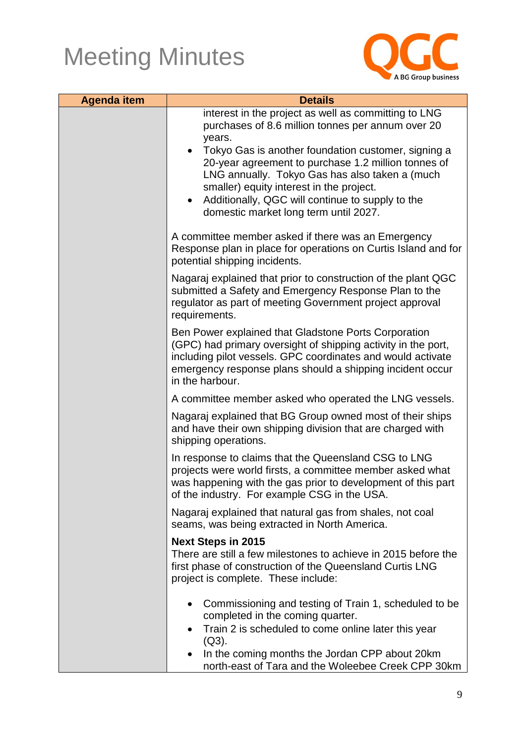

| <b>Agenda item</b> | <b>Details</b>                                                                                                                                                                                                                                                                                                     |
|--------------------|--------------------------------------------------------------------------------------------------------------------------------------------------------------------------------------------------------------------------------------------------------------------------------------------------------------------|
|                    | interest in the project as well as committing to LNG<br>purchases of 8.6 million tonnes per annum over 20<br>years.                                                                                                                                                                                                |
|                    | Tokyo Gas is another foundation customer, signing a<br>20-year agreement to purchase 1.2 million tonnes of<br>LNG annually. Tokyo Gas has also taken a (much<br>smaller) equity interest in the project.<br>Additionally, QGC will continue to supply to the<br>$\bullet$<br>domestic market long term until 2027. |
|                    | A committee member asked if there was an Emergency<br>Response plan in place for operations on Curtis Island and for<br>potential shipping incidents.                                                                                                                                                              |
|                    | Nagaraj explained that prior to construction of the plant QGC<br>submitted a Safety and Emergency Response Plan to the<br>regulator as part of meeting Government project approval<br>requirements.                                                                                                                |
|                    | Ben Power explained that Gladstone Ports Corporation<br>(GPC) had primary oversight of shipping activity in the port,<br>including pilot vessels. GPC coordinates and would activate<br>emergency response plans should a shipping incident occur<br>in the harbour.                                               |
|                    | A committee member asked who operated the LNG vessels.                                                                                                                                                                                                                                                             |
|                    | Nagaraj explained that BG Group owned most of their ships<br>and have their own shipping division that are charged with<br>shipping operations.                                                                                                                                                                    |
|                    | In response to claims that the Queensland CSG to LNG<br>projects were world firsts, a committee member asked what<br>was happening with the gas prior to development of this part<br>of the industry. For example CSG in the USA.                                                                                  |
|                    | Nagaraj explained that natural gas from shales, not coal<br>seams, was being extracted in North America.                                                                                                                                                                                                           |
|                    | <b>Next Steps in 2015</b><br>There are still a few milestones to achieve in 2015 before the<br>first phase of construction of the Queensland Curtis LNG<br>project is complete. These include:                                                                                                                     |
|                    | Commissioning and testing of Train 1, scheduled to be<br>completed in the coming quarter.<br>Train 2 is scheduled to come online later this year<br>$(Q3)$ .<br>In the coming months the Jordan CPP about 20km                                                                                                     |
|                    | north-east of Tara and the Woleebee Creek CPP 30km                                                                                                                                                                                                                                                                 |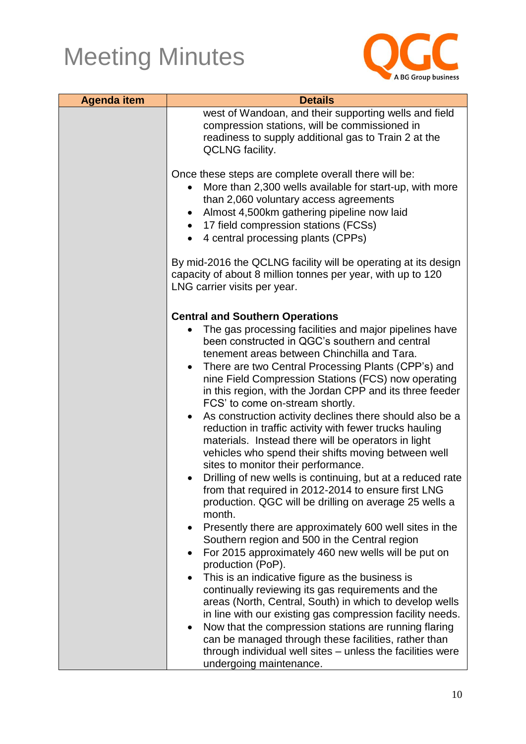

| <b>Agenda item</b> | <b>Details</b>                                                                                                                                                                                                                                                                                                                                                                                                                                                                                                                                                                                                                                                                                                                                                                                                                                                                                                                                                                                                                                                                                                                                                                                                 |
|--------------------|----------------------------------------------------------------------------------------------------------------------------------------------------------------------------------------------------------------------------------------------------------------------------------------------------------------------------------------------------------------------------------------------------------------------------------------------------------------------------------------------------------------------------------------------------------------------------------------------------------------------------------------------------------------------------------------------------------------------------------------------------------------------------------------------------------------------------------------------------------------------------------------------------------------------------------------------------------------------------------------------------------------------------------------------------------------------------------------------------------------------------------------------------------------------------------------------------------------|
|                    | west of Wandoan, and their supporting wells and field<br>compression stations, will be commissioned in<br>readiness to supply additional gas to Train 2 at the<br><b>QCLNG</b> facility.                                                                                                                                                                                                                                                                                                                                                                                                                                                                                                                                                                                                                                                                                                                                                                                                                                                                                                                                                                                                                       |
|                    | Once these steps are complete overall there will be:<br>More than 2,300 wells available for start-up, with more<br>than 2,060 voluntary access agreements<br>Almost 4,500km gathering pipeline now laid<br>17 field compression stations (FCSs)<br>4 central processing plants (CPPs)                                                                                                                                                                                                                                                                                                                                                                                                                                                                                                                                                                                                                                                                                                                                                                                                                                                                                                                          |
|                    | By mid-2016 the QCLNG facility will be operating at its design<br>capacity of about 8 million tonnes per year, with up to 120<br>LNG carrier visits per year.                                                                                                                                                                                                                                                                                                                                                                                                                                                                                                                                                                                                                                                                                                                                                                                                                                                                                                                                                                                                                                                  |
|                    | <b>Central and Southern Operations</b><br>The gas processing facilities and major pipelines have<br>been constructed in QGC's southern and central<br>tenement areas between Chinchilla and Tara.<br>There are two Central Processing Plants (CPP's) and<br>nine Field Compression Stations (FCS) now operating<br>in this region, with the Jordan CPP and its three feeder<br>FCS' to come on-stream shortly.<br>As construction activity declines there should also be a<br>$\bullet$<br>reduction in traffic activity with fewer trucks hauling<br>materials. Instead there will be operators in light<br>vehicles who spend their shifts moving between well<br>sites to monitor their performance.<br>Drilling of new wells is continuing, but at a reduced rate<br>from that required in 2012-2014 to ensure first LNG<br>production. QGC will be drilling on average 25 wells a<br>month.<br>Presently there are approximately 600 well sites in the<br>$\bullet$<br>Southern region and 500 in the Central region<br>For 2015 approximately 460 new wells will be put on<br>production (PoP).<br>This is an indicative figure as the business is<br>continually reviewing its gas requirements and the |
|                    | areas (North, Central, South) in which to develop wells<br>in line with our existing gas compression facility needs.<br>Now that the compression stations are running flaring<br>can be managed through these facilities, rather than<br>through individual well sites - unless the facilities were<br>undergoing maintenance.                                                                                                                                                                                                                                                                                                                                                                                                                                                                                                                                                                                                                                                                                                                                                                                                                                                                                 |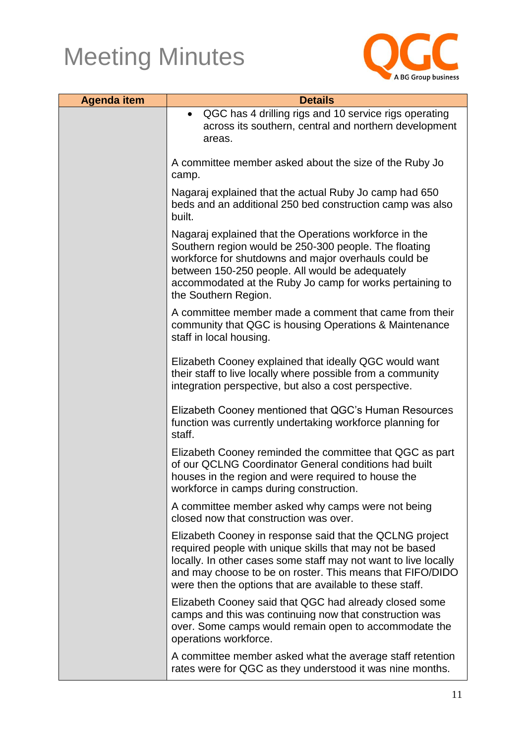

| <b>Agenda item</b> | <b>Details</b>                                                                                                                                                                                                                                                                                                   |
|--------------------|------------------------------------------------------------------------------------------------------------------------------------------------------------------------------------------------------------------------------------------------------------------------------------------------------------------|
|                    | QGC has 4 drilling rigs and 10 service rigs operating<br>across its southern, central and northern development<br>areas.                                                                                                                                                                                         |
|                    | A committee member asked about the size of the Ruby Jo<br>camp.                                                                                                                                                                                                                                                  |
|                    | Nagaraj explained that the actual Ruby Jo camp had 650<br>beds and an additional 250 bed construction camp was also<br>built.                                                                                                                                                                                    |
|                    | Nagaraj explained that the Operations workforce in the<br>Southern region would be 250-300 people. The floating<br>workforce for shutdowns and major overhauls could be<br>between 150-250 people. All would be adequately<br>accommodated at the Ruby Jo camp for works pertaining to<br>the Southern Region.   |
|                    | A committee member made a comment that came from their<br>community that QGC is housing Operations & Maintenance<br>staff in local housing.                                                                                                                                                                      |
|                    | Elizabeth Cooney explained that ideally QGC would want<br>their staff to live locally where possible from a community<br>integration perspective, but also a cost perspective.                                                                                                                                   |
|                    | Elizabeth Cooney mentioned that QGC's Human Resources<br>function was currently undertaking workforce planning for<br>staff.                                                                                                                                                                                     |
|                    | Elizabeth Cooney reminded the committee that QGC as part<br>of our QCLNG Coordinator General conditions had built<br>houses in the region and were required to house the<br>workforce in camps during construction.                                                                                              |
|                    | A committee member asked why camps were not being<br>closed now that construction was over.                                                                                                                                                                                                                      |
|                    | Elizabeth Cooney in response said that the QCLNG project<br>required people with unique skills that may not be based<br>locally. In other cases some staff may not want to live locally<br>and may choose to be on roster. This means that FIFO/DIDO<br>were then the options that are available to these staff. |
|                    | Elizabeth Cooney said that QGC had already closed some<br>camps and this was continuing now that construction was<br>over. Some camps would remain open to accommodate the<br>operations workforce.                                                                                                              |
|                    | A committee member asked what the average staff retention<br>rates were for QGC as they understood it was nine months.                                                                                                                                                                                           |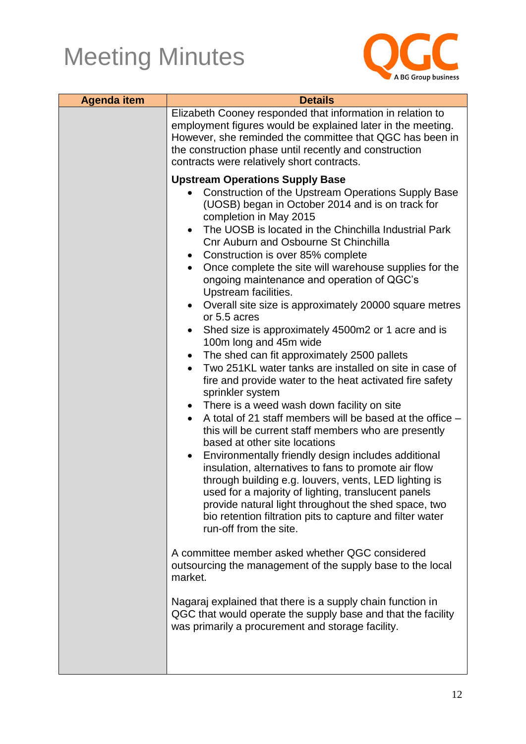

| <b>Agenda item</b> | <b>Details</b>                                                                                                                                                                                                                                                                                                                                                                                                                                                                                                                                                                                                                                                                                                                                                                                                                                                                                                                                                                                                                                                                                                                                                                                                                                                                                                                                                                                                                                                                                                                                                                                                                                                                                                                                                                                                                                  |
|--------------------|-------------------------------------------------------------------------------------------------------------------------------------------------------------------------------------------------------------------------------------------------------------------------------------------------------------------------------------------------------------------------------------------------------------------------------------------------------------------------------------------------------------------------------------------------------------------------------------------------------------------------------------------------------------------------------------------------------------------------------------------------------------------------------------------------------------------------------------------------------------------------------------------------------------------------------------------------------------------------------------------------------------------------------------------------------------------------------------------------------------------------------------------------------------------------------------------------------------------------------------------------------------------------------------------------------------------------------------------------------------------------------------------------------------------------------------------------------------------------------------------------------------------------------------------------------------------------------------------------------------------------------------------------------------------------------------------------------------------------------------------------------------------------------------------------------------------------------------------------|
|                    | Elizabeth Cooney responded that information in relation to<br>employment figures would be explained later in the meeting.<br>However, she reminded the committee that QGC has been in<br>the construction phase until recently and construction<br>contracts were relatively short contracts.                                                                                                                                                                                                                                                                                                                                                                                                                                                                                                                                                                                                                                                                                                                                                                                                                                                                                                                                                                                                                                                                                                                                                                                                                                                                                                                                                                                                                                                                                                                                                   |
|                    | <b>Upstream Operations Supply Base</b><br>Construction of the Upstream Operations Supply Base<br>(UOSB) began in October 2014 and is on track for<br>completion in May 2015<br>The UOSB is located in the Chinchilla Industrial Park<br>$\bullet$<br><b>Cnr Auburn and Osbourne St Chinchilla</b><br>Construction is over 85% complete<br>$\bullet$<br>Once complete the site will warehouse supplies for the<br>$\bullet$<br>ongoing maintenance and operation of QGC's<br>Upstream facilities.<br>Overall site size is approximately 20000 square metres<br>$\bullet$<br>or 5.5 acres<br>Shed size is approximately 4500m2 or 1 acre and is<br>$\bullet$<br>100m long and 45m wide<br>The shed can fit approximately 2500 pallets<br>$\bullet$<br>Two 251KL water tanks are installed on site in case of<br>$\bullet$<br>fire and provide water to the heat activated fire safety<br>sprinkler system<br>There is a weed wash down facility on site<br>$\bullet$<br>A total of 21 staff members will be based at the office -<br>$\bullet$<br>this will be current staff members who are presently<br>based at other site locations<br>Environmentally friendly design includes additional<br>$\bullet$<br>insulation, alternatives to fans to promote air flow<br>through building e.g. louvers, vents, LED lighting is<br>used for a majority of lighting, translucent panels<br>provide natural light throughout the shed space, two<br>bio retention filtration pits to capture and filter water<br>run-off from the site.<br>A committee member asked whether QGC considered<br>outsourcing the management of the supply base to the local<br>market.<br>Nagaraj explained that there is a supply chain function in<br>QGC that would operate the supply base and that the facility<br>was primarily a procurement and storage facility. |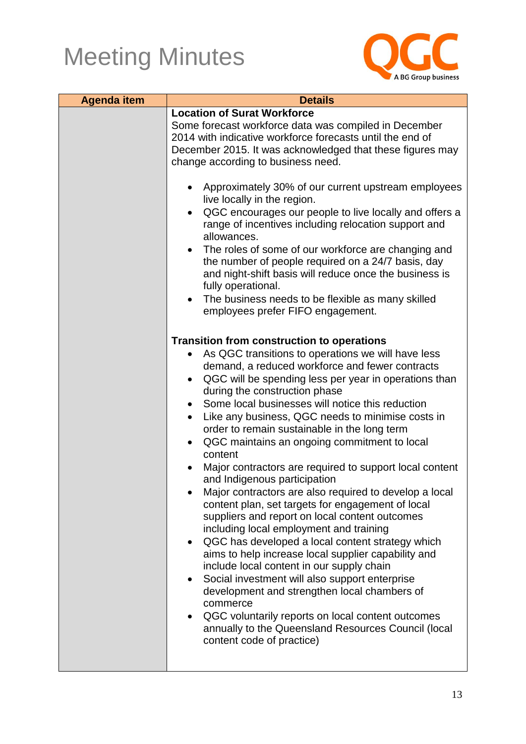

| <b>Agenda item</b> | <b>Details</b>                                                                                                                                                                                                                                               |
|--------------------|--------------------------------------------------------------------------------------------------------------------------------------------------------------------------------------------------------------------------------------------------------------|
|                    | <b>Location of Surat Workforce</b>                                                                                                                                                                                                                           |
|                    | Some forecast workforce data was compiled in December                                                                                                                                                                                                        |
|                    | 2014 with indicative workforce forecasts until the end of                                                                                                                                                                                                    |
|                    | December 2015. It was acknowledged that these figures may                                                                                                                                                                                                    |
|                    | change according to business need.                                                                                                                                                                                                                           |
|                    |                                                                                                                                                                                                                                                              |
|                    | Approximately 30% of our current upstream employees<br>live locally in the region.                                                                                                                                                                           |
|                    | QGC encourages our people to live locally and offers a<br>range of incentives including relocation support and                                                                                                                                               |
|                    | allowances.                                                                                                                                                                                                                                                  |
|                    | The roles of some of our workforce are changing and<br>the number of people required on a 24/7 basis, day<br>and night-shift basis will reduce once the business is<br>fully operational.                                                                    |
|                    | The business needs to be flexible as many skilled<br>$\bullet$<br>employees prefer FIFO engagement.                                                                                                                                                          |
|                    | <b>Transition from construction to operations</b>                                                                                                                                                                                                            |
|                    | As QGC transitions to operations we will have less                                                                                                                                                                                                           |
|                    | demand, a reduced workforce and fewer contracts                                                                                                                                                                                                              |
|                    | QGC will be spending less per year in operations than<br>$\bullet$                                                                                                                                                                                           |
|                    | during the construction phase                                                                                                                                                                                                                                |
|                    | Some local businesses will notice this reduction<br>$\bullet$                                                                                                                                                                                                |
|                    | Like any business, QGC needs to minimise costs in                                                                                                                                                                                                            |
|                    | order to remain sustainable in the long term                                                                                                                                                                                                                 |
|                    | QGC maintains an ongoing commitment to local                                                                                                                                                                                                                 |
|                    | content                                                                                                                                                                                                                                                      |
|                    | Major contractors are required to support local content<br>and Indigenous participation                                                                                                                                                                      |
|                    | Major contractors are also required to develop a local<br>content plan, set targets for engagement of local<br>suppliers and report on local content outcomes<br>including local employment and training<br>QGC has developed a local content strategy which |
|                    | aims to help increase local supplier capability and<br>include local content in our supply chain<br>Social investment will also support enterprise                                                                                                           |
|                    | development and strengthen local chambers of<br>commerce                                                                                                                                                                                                     |
|                    | QGC voluntarily reports on local content outcomes<br>annually to the Queensland Resources Council (local<br>content code of practice)                                                                                                                        |
|                    |                                                                                                                                                                                                                                                              |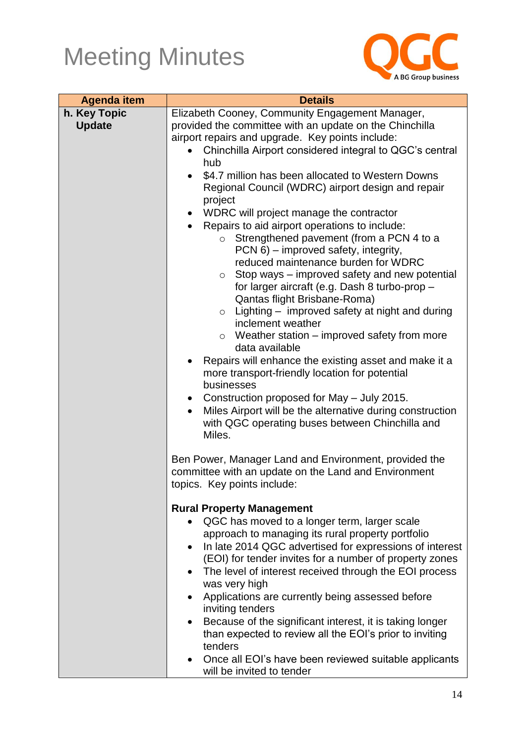

| <b>Agenda item</b> | <b>Details</b>                                                                                                    |
|--------------------|-------------------------------------------------------------------------------------------------------------------|
| h. Key Topic       | Elizabeth Cooney, Community Engagement Manager,                                                                   |
| <b>Update</b>      | provided the committee with an update on the Chinchilla                                                           |
|                    | airport repairs and upgrade. Key points include:                                                                  |
|                    | Chinchilla Airport considered integral to QGC's central                                                           |
|                    | hub                                                                                                               |
|                    | \$4.7 million has been allocated to Western Downs<br>$\bullet$                                                    |
|                    | Regional Council (WDRC) airport design and repair                                                                 |
|                    | project                                                                                                           |
|                    | WDRC will project manage the contractor<br>$\bullet$                                                              |
|                    | Repairs to aid airport operations to include:                                                                     |
|                    | Strengthened pavement (from a PCN 4 to a<br>$\circ$                                                               |
|                    | PCN 6) – improved safety, integrity,                                                                              |
|                    | reduced maintenance burden for WDRC                                                                               |
|                    | Stop ways – improved safety and new potential<br>$\circ$                                                          |
|                    | for larger aircraft (e.g. Dash 8 turbo-prop -                                                                     |
|                    | Qantas flight Brisbane-Roma)                                                                                      |
|                    | Lighting – improved safety at night and during<br>$\circ$<br>inclement weather                                    |
|                    | Weather station – improved safety from more<br>$\circ$                                                            |
|                    | data available                                                                                                    |
|                    | Repairs will enhance the existing asset and make it a<br>$\bullet$                                                |
|                    | more transport-friendly location for potential                                                                    |
|                    | businesses                                                                                                        |
|                    | Construction proposed for May - July 2015.<br>$\bullet$                                                           |
|                    | Miles Airport will be the alternative during construction<br>$\bullet$                                            |
|                    | with QGC operating buses between Chinchilla and                                                                   |
|                    | Miles.                                                                                                            |
|                    |                                                                                                                   |
|                    | Ben Power, Manager Land and Environment, provided the                                                             |
|                    | committee with an update on the Land and Environment                                                              |
|                    | topics. Key points include:                                                                                       |
|                    |                                                                                                                   |
|                    | <b>Rural Property Management</b>                                                                                  |
|                    | QGC has moved to a longer term, larger scale                                                                      |
|                    | approach to managing its rural property portfolio                                                                 |
|                    | In late 2014 QGC advertised for expressions of interest<br>$\bullet$                                              |
|                    | (EOI) for tender invites for a number of property zones<br>The level of interest received through the EOI process |
|                    | was very high                                                                                                     |
|                    | Applications are currently being assessed before                                                                  |
|                    | inviting tenders                                                                                                  |
|                    | Because of the significant interest, it is taking longer                                                          |
|                    | than expected to review all the EOI's prior to inviting                                                           |
|                    | tenders                                                                                                           |
|                    | Once all EOI's have been reviewed suitable applicants                                                             |
|                    | will be invited to tender                                                                                         |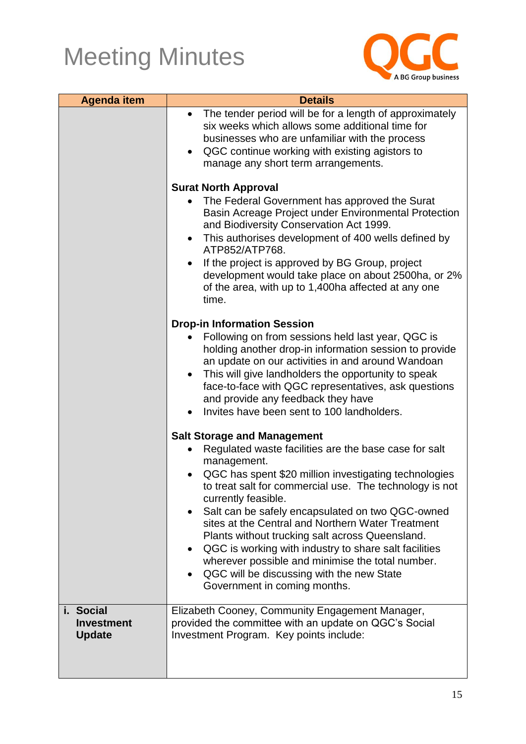

| <b>Agenda item</b>                 | <b>Details</b>                                                                                                        |
|------------------------------------|-----------------------------------------------------------------------------------------------------------------------|
|                                    | The tender period will be for a length of approximately<br>$\bullet$                                                  |
|                                    | six weeks which allows some additional time for<br>businesses who are unfamiliar with the process                     |
|                                    | QGC continue working with existing agistors to<br>$\bullet$                                                           |
|                                    | manage any short term arrangements.                                                                                   |
|                                    | <b>Surat North Approval</b>                                                                                           |
|                                    | The Federal Government has approved the Surat                                                                         |
|                                    | Basin Acreage Project under Environmental Protection                                                                  |
|                                    | and Biodiversity Conservation Act 1999.<br>This authorises development of 400 wells defined by<br>$\bullet$           |
|                                    | ATP852/ATP768.                                                                                                        |
|                                    | If the project is approved by BG Group, project                                                                       |
|                                    | development would take place on about 2500ha, or 2%<br>of the area, with up to 1,400ha affected at any one            |
|                                    | time.                                                                                                                 |
|                                    | <b>Drop-in Information Session</b>                                                                                    |
|                                    | Following on from sessions held last year, QGC is                                                                     |
|                                    | holding another drop-in information session to provide                                                                |
|                                    | an update on our activities in and around Wandoan<br>This will give landholders the opportunity to speak<br>$\bullet$ |
|                                    | face-to-face with QGC representatives, ask questions                                                                  |
|                                    | and provide any feedback they have                                                                                    |
|                                    | Invites have been sent to 100 landholders.                                                                            |
|                                    | <b>Salt Storage and Management</b>                                                                                    |
|                                    | Regulated waste facilities are the base case for salt<br>management.                                                  |
|                                    | QGC has spent \$20 million investigating technologies                                                                 |
|                                    | to treat salt for commercial use. The technology is not<br>currently feasible.                                        |
|                                    | Salt can be safely encapsulated on two QGC-owned<br>sites at the Central and Northern Water Treatment                 |
|                                    | Plants without trucking salt across Queensland.                                                                       |
|                                    | QGC is working with industry to share salt facilities                                                                 |
|                                    | wherever possible and minimise the total number.                                                                      |
|                                    | QGC will be discussing with the new State<br>Government in coming months.                                             |
|                                    |                                                                                                                       |
| i. Social                          | Elizabeth Cooney, Community Engagement Manager,                                                                       |
| <b>Investment</b><br><b>Update</b> | provided the committee with an update on QGC's Social<br>Investment Program. Key points include:                      |
|                                    |                                                                                                                       |
|                                    |                                                                                                                       |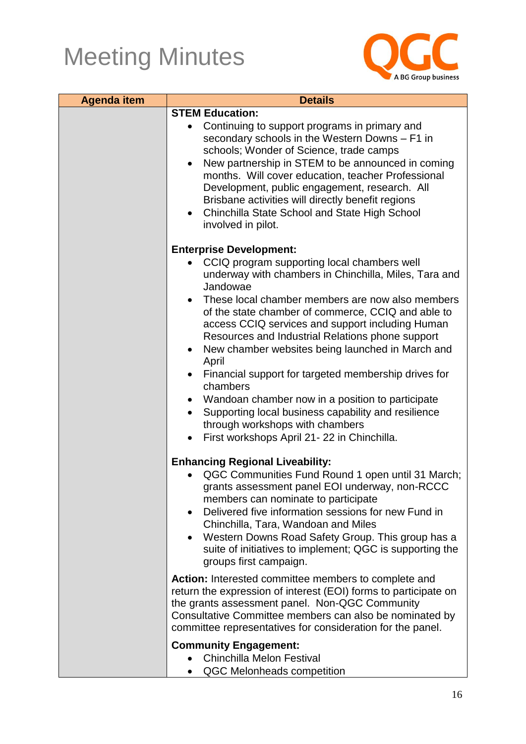

| <b>Agenda item</b> | <b>Details</b>                                                                                                                                                                                                                                                                                                                                                                                                                                                                                                                                                 |
|--------------------|----------------------------------------------------------------------------------------------------------------------------------------------------------------------------------------------------------------------------------------------------------------------------------------------------------------------------------------------------------------------------------------------------------------------------------------------------------------------------------------------------------------------------------------------------------------|
|                    | <b>STEM Education:</b>                                                                                                                                                                                                                                                                                                                                                                                                                                                                                                                                         |
|                    | Continuing to support programs in primary and<br>secondary schools in the Western Downs - F1 in<br>schools; Wonder of Science, trade camps<br>New partnership in STEM to be announced in coming<br>$\bullet$<br>months. Will cover education, teacher Professional<br>Development, public engagement, research. All<br>Brisbane activities will directly benefit regions<br>Chinchilla State School and State High School<br>$\bullet$<br>involved in pilot.                                                                                                   |
|                    | <b>Enterprise Development:</b>                                                                                                                                                                                                                                                                                                                                                                                                                                                                                                                                 |
|                    | CCIQ program supporting local chambers well<br>underway with chambers in Chinchilla, Miles, Tara and<br>Jandowae<br>These local chamber members are now also members<br>$\bullet$<br>of the state chamber of commerce, CCIQ and able to<br>access CCIQ services and support including Human<br>Resources and Industrial Relations phone support<br>New chamber websites being launched in March and<br>$\bullet$<br>April<br>Financial support for targeted membership drives for<br>chambers<br>Wandoan chamber now in a position to participate<br>$\bullet$ |
|                    | Supporting local business capability and resilience<br>$\bullet$<br>through workshops with chambers<br>First workshops April 21-22 in Chinchilla.                                                                                                                                                                                                                                                                                                                                                                                                              |
|                    | <b>Enhancing Regional Liveability:</b>                                                                                                                                                                                                                                                                                                                                                                                                                                                                                                                         |
|                    | QGC Communities Fund Round 1 open until 31 March;<br>grants assessment panel EOI underway, non-RCCC<br>members can nominate to participate<br>Delivered five information sessions for new Fund in<br>Chinchilla, Tara, Wandoan and Miles<br>Western Downs Road Safety Group. This group has a<br>suite of initiatives to implement; QGC is supporting the<br>groups first campaign.                                                                                                                                                                            |
|                    | Action: Interested committee members to complete and<br>return the expression of interest (EOI) forms to participate on<br>the grants assessment panel. Non-QGC Community<br>Consultative Committee members can also be nominated by<br>committee representatives for consideration for the panel.                                                                                                                                                                                                                                                             |
|                    | <b>Community Engagement:</b><br><b>Chinchilla Melon Festival</b><br>QGC Melonheads competition                                                                                                                                                                                                                                                                                                                                                                                                                                                                 |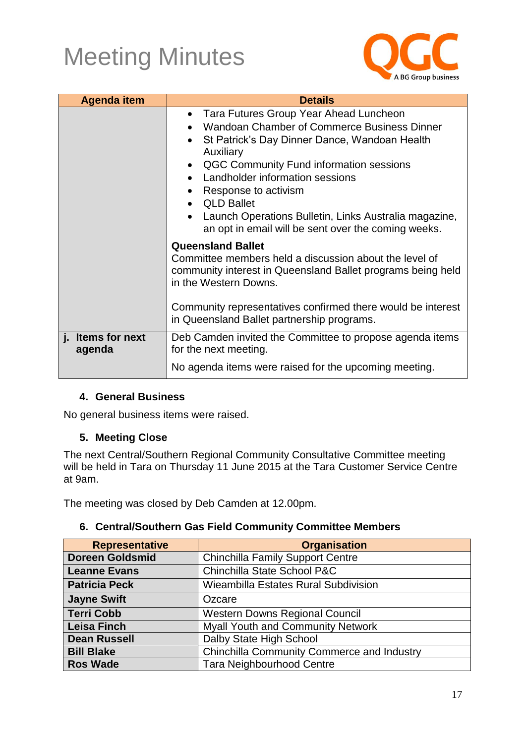

| <b>Agenda item</b>             | <b>Details</b>                                                                                                                                                                                                                                                                                                                                                                                        |
|--------------------------------|-------------------------------------------------------------------------------------------------------------------------------------------------------------------------------------------------------------------------------------------------------------------------------------------------------------------------------------------------------------------------------------------------------|
|                                | Tara Futures Group Year Ahead Luncheon<br>Wandoan Chamber of Commerce Business Dinner<br>St Patrick's Day Dinner Dance, Wandoan Health<br>Auxiliary<br><b>QGC Community Fund information sessions</b><br>Landholder information sessions<br>Response to activism<br><b>QLD Ballet</b><br>Launch Operations Bulletin, Links Australia magazine,<br>an opt in email will be sent over the coming weeks. |
|                                | <b>Queensland Ballet</b><br>Committee members held a discussion about the level of<br>community interest in Queensland Ballet programs being held<br>in the Western Downs.<br>Community representatives confirmed there would be interest<br>in Queensland Ballet partnership programs.                                                                                                               |
| Items for next<br>Ъ.<br>agenda | Deb Camden invited the Committee to propose agenda items<br>for the next meeting.<br>No agenda items were raised for the upcoming meeting.                                                                                                                                                                                                                                                            |

#### **4. General Business**

No general business items were raised.

#### **5. Meeting Close**

The next Central/Southern Regional Community Consultative Committee meeting will be held in Tara on Thursday 11 June 2015 at the Tara Customer Service Centre at 9am.

The meeting was closed by Deb Camden at 12.00pm.

#### **6. Central/Southern Gas Field Community Committee Members**

| <b>Representative</b>  | <b>Organisation</b>                        |
|------------------------|--------------------------------------------|
| <b>Doreen Goldsmid</b> | <b>Chinchilla Family Support Centre</b>    |
| <b>Leanne Evans</b>    | Chinchilla State School P&C                |
| <b>Patricia Peck</b>   | Wieambilla Estates Rural Subdivision       |
| <b>Jayne Swift</b>     | Ozcare                                     |
| <b>Terri Cobb</b>      | <b>Western Downs Regional Council</b>      |
| <b>Leisa Finch</b>     | <b>Myall Youth and Community Network</b>   |
| <b>Dean Russell</b>    | Dalby State High School                    |
| <b>Bill Blake</b>      | Chinchilla Community Commerce and Industry |
| <b>Ros Wade</b>        | <b>Tara Neighbourhood Centre</b>           |